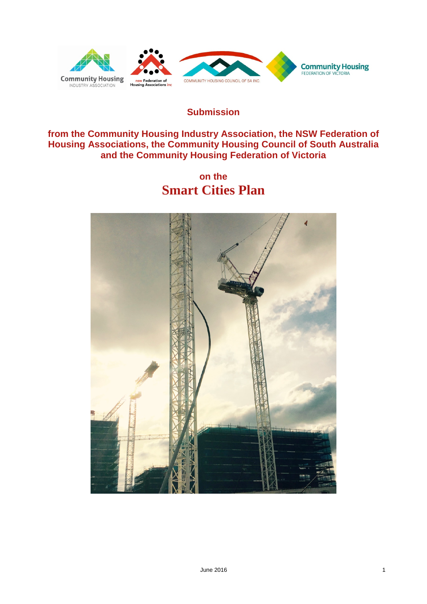

# **Submission**

# **from the Community Housing Industry Association, the NSW Federation of Housing Associations, the Community Housing Council of South Australia and the Community Housing Federation of Victoria**

# **on the Smart Cities Plan**

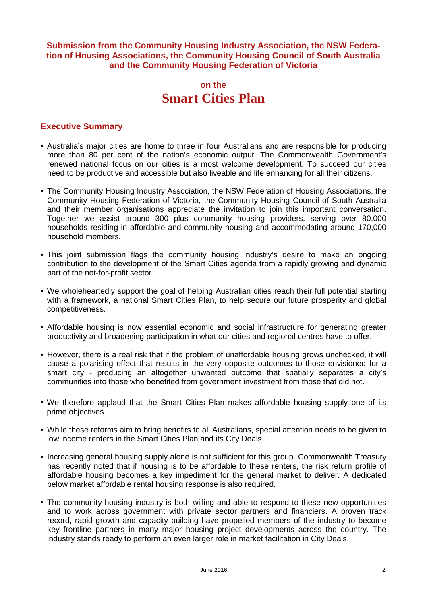## **Submission from the Community Housing Industry Association, the NSW Federation of Housing Associations, the Community Housing Council of South Australia and the Community Housing Federation of Victoria**

# **on the Smart Cities Plan**

## **Executive Summary**

- Australia's major cities are home to three in four Australians and are responsible for producing more than 80 per cent of the nation's economic output. The Commonwealth Government's renewed national focus on our cities is a most welcome development. To succeed our cities need to be productive and accessible but also liveable and life enhancing for all their citizens.
- The Community Housing Industry Association, the NSW Federation of Housing Associations, the Community Housing Federation of Victoria, the Community Housing Council of South Australia and their member organisations appreciate the invitation to join this important conversation. Together we assist around 300 plus community housing providers, serving over 80,000 households residing in affordable and community housing and accommodating around 170,000 household members.
- This joint submission flags the community housing industry's desire to make an ongoing contribution to the development of the Smart Cities agenda from a rapidly growing and dynamic part of the not-for-profit sector.
- We wholeheartedly support the goal of helping Australian cities reach their full potential starting with a framework, a national Smart Cities Plan, to help secure our future prosperity and global competitiveness.
- Affordable housing is now essential economic and social infrastructure for generating greater productivity and broadening participation in what our cities and regional centres have to offer.
- However, there is a real risk that if the problem of unaffordable housing grows unchecked, it will cause a polarising effect that results in the very opposite outcomes to those envisioned for a smart city - producing an altogether unwanted outcome that spatially separates a city's communities into those who benefited from government investment from those that did not.
- We therefore applaud that the Smart Cities Plan makes affordable housing supply one of its prime objectives.
- While these reforms aim to bring benefits to all Australians, special attention needs to be given to low income renters in the Smart Cities Plan and its City Deals.
- Increasing general housing supply alone is not sufficient for this group. Commonwealth Treasury has recently noted that if housing is to be affordable to these renters, the risk return profile of affordable housing becomes a key impediment for the general market to deliver. A dedicated below market affordable rental housing response is also required.
- The community housing industry is both willing and able to respond to these new opportunities and to work across government with private sector partners and financiers. A proven track record, rapid growth and capacity building have propelled members of the industry to become key frontline partners in many major housing project developments across the country. The industry stands ready to perform an even larger role in market facilitation in City Deals.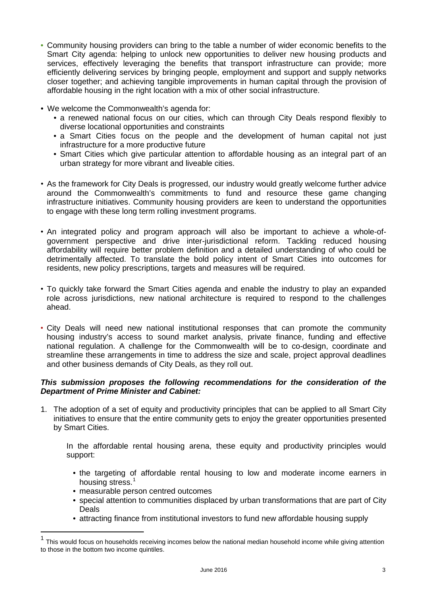- Community housing providers can bring to the table a number of wider economic benefits to the Smart City agenda: helping to unlock new opportunities to deliver new housing products and services, effectively leveraging the benefits that transport infrastructure can provide; more efficiently delivering services by bringing people, employment and support and supply networks closer together; and achieving tangible improvements in human capital through the provision of affordable housing in the right location with a mix of other social infrastructure.
- We welcome the Commonwealth's agenda for:
	- a renewed national focus on our cities, which can through City Deals respond flexibly to diverse locational opportunities and constraints
	- a Smart Cities focus on the people and the development of human capital not just infrastructure for a more productive future
	- Smart Cities which give particular attention to affordable housing as an integral part of an urban strategy for more vibrant and liveable cities.
- As the framework for City Deals is progressed, our industry would greatly welcome further advice around the Commonwealth's commitments to fund and resource these game changing infrastructure initiatives. Community housing providers are keen to understand the opportunities to engage with these long term rolling investment programs.
- An integrated policy and program approach will also be important to achieve a whole-ofgovernment perspective and drive inter-jurisdictional reform. Tackling reduced housing affordability will require better problem definition and a detailed understanding of who could be detrimentally affected. To translate the bold policy intent of Smart Cities into outcomes for residents, new policy prescriptions, targets and measures will be required.
- To quickly take forward the Smart Cities agenda and enable the industry to play an expanded role across jurisdictions, new national architecture is required to respond to the challenges ahead.
- City Deals will need new national institutional responses that can promote the community housing industry's access to sound market analysis, private finance, funding and effective national regulation. A challenge for the Commonwealth will be to co-design, coordinate and streamline these arrangements in time to address the size and scale, project approval deadlines and other business demands of City Deals, as they roll out.

### *This submission proposes the following recommendations for the consideration of the Department of Prime Minister and Cabinet:*

1. The adoption of a set of equity and productivity principles that can be applied to all Smart City initiatives to ensure that the entire community gets to enjoy the greater opportunities presented by Smart Cities.

In the affordable rental housing arena, these equity and productivity principles would support:

- the targeting of affordable rental housing to low and moderate income earners in housing stress.<sup>[1](#page-2-0)</sup>
- measurable person centred outcomes
- special attention to communities displaced by urban transformations that are part of City Deals
- attracting finance from institutional investors to fund new affordable housing supply

<span id="page-2-0"></span> $1$  This would focus on households receiving incomes below the national median household income while giving attention to those in the bottom two income quintiles.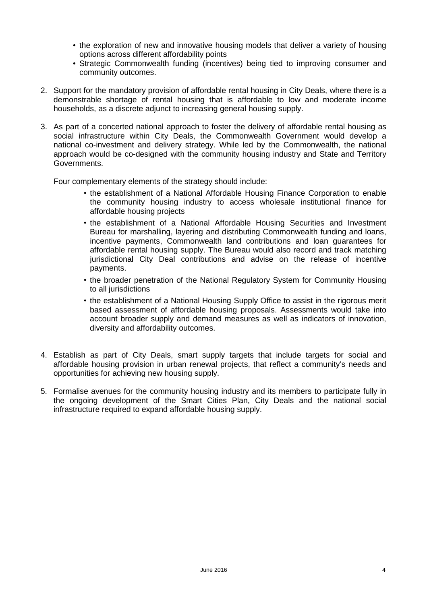- the exploration of new and innovative housing models that deliver a variety of housing options across different affordability points
- Strategic Commonwealth funding (incentives) being tied to improving consumer and community outcomes.
- 2. Support for the mandatory provision of affordable rental housing in City Deals, where there is a demonstrable shortage of rental housing that is affordable to low and moderate income households, as a discrete adjunct to increasing general housing supply.
- 3. As part of a concerted national approach to foster the delivery of affordable rental housing as social infrastructure within City Deals, the Commonwealth Government would develop a national co-investment and delivery strategy. While led by the Commonwealth, the national approach would be co-designed with the community housing industry and State and Territory Governments.

Four complementary elements of the strategy should include:

- the establishment of a National Affordable Housing Finance Corporation to enable the community housing industry to access wholesale institutional finance for affordable housing projects
- the establishment of a National Affordable Housing Securities and Investment Bureau for marshalling, layering and distributing Commonwealth funding and loans, incentive payments, Commonwealth land contributions and loan guarantees for affordable rental housing supply. The Bureau would also record and track matching jurisdictional City Deal contributions and advise on the release of incentive payments.
- the broader penetration of the National Regulatory System for Community Housing to all jurisdictions
- the establishment of a National Housing Supply Office to assist in the rigorous merit based assessment of affordable housing proposals. Assessments would take into account broader supply and demand measures as well as indicators of innovation, diversity and affordability outcomes.
- 4. Establish as part of City Deals, smart supply targets that include targets for social and affordable housing provision in urban renewal projects, that reflect a community's needs and opportunities for achieving new housing supply.
- 5. Formalise avenues for the community housing industry and its members to participate fully in the ongoing development of the Smart Cities Plan, City Deals and the national social infrastructure required to expand affordable housing supply.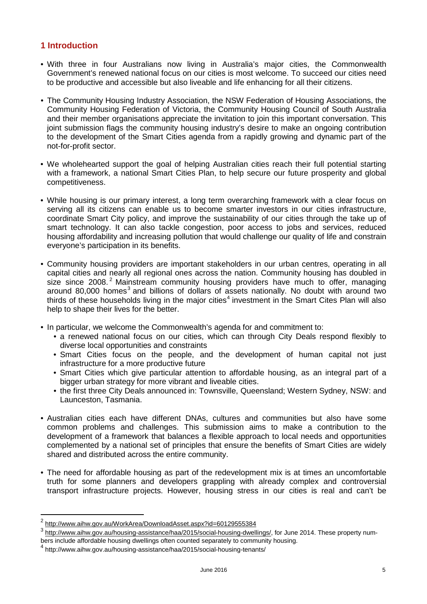## **1 Introduction**

- With three in four Australians now living in Australia's major cities, the Commonwealth Government's renewed national focus on our cities is most welcome. To succeed our cities need to be productive and accessible but also liveable and life enhancing for all their citizens.
- The Community Housing Industry Association, the NSW Federation of Housing Associations, the Community Housing Federation of Victoria, the Community Housing Council of South Australia and their member organisations appreciate the invitation to join this important conversation. This joint submission flags the community housing industry's desire to make an ongoing contribution to the development of the Smart Cities agenda from a rapidly growing and dynamic part of the not-for-profit sector.
- We wholehearted support the goal of helping Australian cities reach their full potential starting with a framework, a national Smart Cities Plan, to help secure our future prosperity and global competitiveness.
- While housing is our primary interest, a long term overarching framework with a clear focus on serving all its citizens can enable us to become smarter investors in our cities infrastructure, coordinate Smart City policy, and improve the sustainability of our cities through the take up of smart technology. It can also tackle congestion, poor access to jobs and services, reduced housing affordability and increasing pollution that would challenge our quality of life and constrain everyone's participation in its benefits.
- Community housing providers are important stakeholders in our urban centres, operating in all capital cities and nearly all regional ones across the nation. Community housing has doubled in size since [2](#page-4-0)008.<sup>2</sup> Mainstream community housing providers have much to offer, managing around 80,000 homes<sup>[3](#page-4-1)</sup> and billions of dollars of assets nationally. No doubt with around two thirds of these households living in the major cities<sup>[4](#page-4-2)</sup> investment in the Smart Cites Plan will also help to shape their lives for the better.
- In particular, we welcome the Commonwealth's agenda for and commitment to:
	- a renewed national focus on our cities, which can through City Deals respond flexibly to diverse local opportunities and constraints
	- Smart Cities focus on the people, and the development of human capital not just infrastructure for a more productive future
	- Smart Cities which give particular attention to affordable housing, as an integral part of a bigger urban strategy for more vibrant and liveable cities.
	- the first three City Deals announced in: Townsville, Queensland; Western Sydney, NSW: and Launceston, Tasmania.
- Australian cities each have different DNAs, cultures and communities but also have some common problems and challenges. This submission aims to make a contribution to the development of a framework that balances a flexible approach to local needs and opportunities complemented by a national set of principles that ensure the benefits of Smart Cities are widely shared and distributed across the entire community.
- The need for affordable housing as part of the redevelopment mix is at times an uncomfortable truth for some planners and developers grappling with already complex and controversial transport infrastructure projects. However, housing stress in our cities is real and can't be

<sup>2</sup> <http://www.aihw.gov.au/WorkArea/DownloadAsset.aspx?id=60129555384>

<span id="page-4-1"></span><span id="page-4-0"></span><sup>3</sup> [http://www.aihw.gov.au/housing-assistance/haa/2015/social-housing-dwellings/,](http://www.aihw.gov.au/housing-assistance/haa/2015/social-housing-dwellings/) for June 2014. These property num-

bers include affordable housing dwellings often counted separately to community housing.

<span id="page-4-2"></span><sup>&</sup>lt;sup>4</sup> http://www.aihw.gov.au/housing-assistance/haa/2015/social-housing-tenants/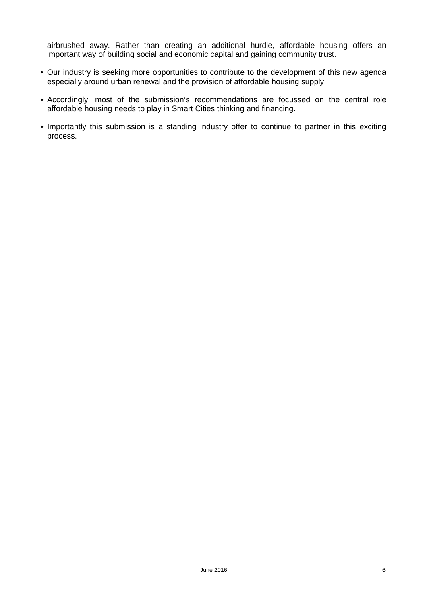airbrushed away. Rather than creating an additional hurdle, affordable housing offers an important way of building social and economic capital and gaining community trust.

- Our industry is seeking more opportunities to contribute to the development of this new agenda especially around urban renewal and the provision of affordable housing supply.
- Accordingly, most of the submission's recommendations are focussed on the central role affordable housing needs to play in Smart Cities thinking and financing.
- Importantly this submission is a standing industry offer to continue to partner in this exciting process.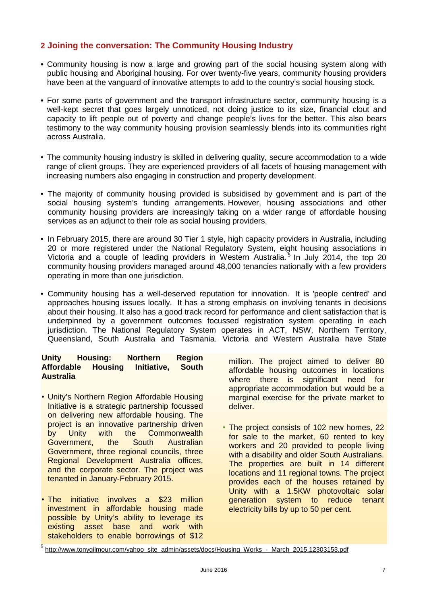## **2 Joining the conversation: The Community Housing Industry**

- *•* Community housing is now a large and growing part of the social housing system along with public housing and Aboriginal housing. For over twenty-five years, community housing providers have been at the vanguard of innovative attempts to add to the country's social housing stock.
- *•* For some parts of government and the transport infrastructure sector, community housing is a well-kept secret that goes largely unnoticed, not doing justice to its size, financial clout and capacity to lift people out of poverty and change people's lives for the better. This also bears testimony to the way community housing provision seamlessly blends into its communities right across Australia.
- The community housing industry is skilled in delivering quality, secure accommodation to a wide range of client groups. They are experienced providers of all facets of housing management with increasing numbers also engaging in construction and property development.
- The majority of community housing provided is subsidised by government and is part of the social housing system's funding arrangements. However, housing associations and other community housing providers are increasingly taking on a wider range of affordable housing services as an adjunct to their role as social housing providers.
- In February 2015, there are around 30 Tier 1 style, high capacity providers in Australia, including 20 or more registered under the National Regulatory System, eight housing associations in Victoria and a couple of leading providers in Western Australia.<sup>[5](#page-6-0)</sup> In July 2014, the top 20 community housing providers managed around 48,000 tenancies nationally with a few providers operating in more than one jurisdiction.
- Community housing has a well-deserved reputation for innovation. It is 'people centred' and approaches housing issues locally. It has a strong emphasis on involving tenants in decisions about their housing. It also has a good track record for performance and client satisfaction that is underpinned by a government outcomes focussed registration system operating in each jurisdiction. The National Regulatory System operates in ACT, NSW, Northern Territory, Queensland, South Australia and Tasmania. Victoria and Western Australia have State

#### **Unity Housing: Northern Region Housing Initiative, Australia**

- Unity's Northern Region Affordable Housing Initiative is a strategic partnership focussed on delivering new affordable housing. The project is an innovative partnership driven by Unity with the Commonwealth Government, the South Australian Government, three regional councils, three Regional Development Australia offices, and the corporate sector. The project was tenanted in January-February 2015.
- $\overline{\phantom{a}}$ • The initiative involves a \$23 million investment in affordable housing made possible by Unity's ability to leverage its existing asset base and work with stakeholders to enable borrowings of \$12

million. The project aimed to deliver 80 affordable housing outcomes in locations where there is significant need for appropriate accommodation but would be a marginal exercise for the private market to deliver.

• The project consists of 102 new homes, 22 for sale to the market, 60 rented to key workers and 20 provided to people living with a disability and older South Australians. The properties are built in 14 different locations and 11 regional towns. The project provides each of the houses retained by Unity with a 1.5KW photovoltaic solar generation system to reduce tenant electricity bills by up to 50 per cent.

<span id="page-6-0"></span><sup>5</sup> [http://www.tonygilmour.com/yahoo\\_site\\_admin/assets/docs/Housing\\_Works\\_-\\_March\\_2015.12303153.pdf](http://www.tonygilmour.com/yahoo_site_admin/assets/docs/Housing_Works_-_March_2015.12303153.pdf)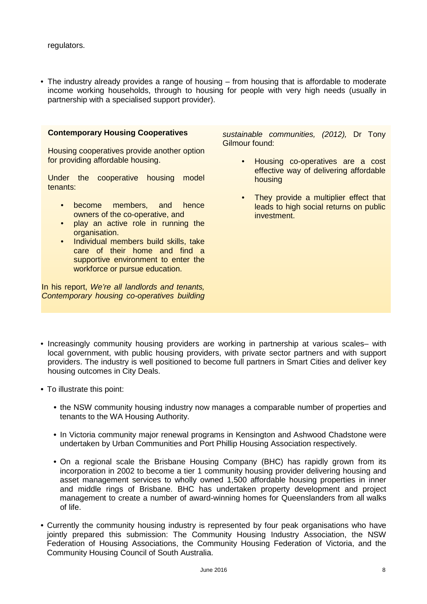• The industry already provides a range of housing – from housing that is affordable to moderate income working households, through to housing for people with very high needs (usually in partnership with a specialised support provider).

#### **Contemporary Housing Cooperatives**

Housing cooperatives provide another option for providing affordable housing.

Under the cooperative housing model tenants:

- become members, and hence owners of the co-operative, and
- play an active role in running the organisation.
- Individual members build skills, take care of their home and find a supportive environment to enter the workforce or pursue education.

In his report, *We're all landlords and tenants, Contemporary housing co-operatives building* *sustainable communities, (2012),* Dr Tony Gilmour found:

- Housing co-operatives are a cost effective way of delivering affordable housing
- They provide a multiplier effect that leads to high social returns on public investment.

- Increasingly community housing providers are working in partnership at various scales– with local government, with public housing providers, with private sector partners and with support providers. The industry is well positioned to become full partners in Smart Cities and deliver key housing outcomes in City Deals.
- *•* To illustrate this point:
	- the NSW community housing industry now manages a comparable number of properties and tenants to the WA Housing Authority.
	- *•* In Victoria community major renewal programs in Kensington and Ashwood Chadstone were undertaken by Urban Communities and Port Phillip Housing Association respectively.
	- *•* On a regional scale the Brisbane Housing Company (BHC) has rapidly grown from its incorporation in 2002 to become a tier 1 community housing provider delivering housing and asset management services to wholly owned 1,500 affordable housing properties in inner and middle rings of Brisbane. BHC has undertaken property development and project management to create a number of award-winning homes for Queenslanders from all walks of life.
- *•* Currently the community housing industry is represented by four peak organisations who have jointly prepared this submission: The Community Housing Industry Association, the NSW Federation of Housing Associations, the Community Housing Federation of Victoria, and the Community Housing Council of South Australia.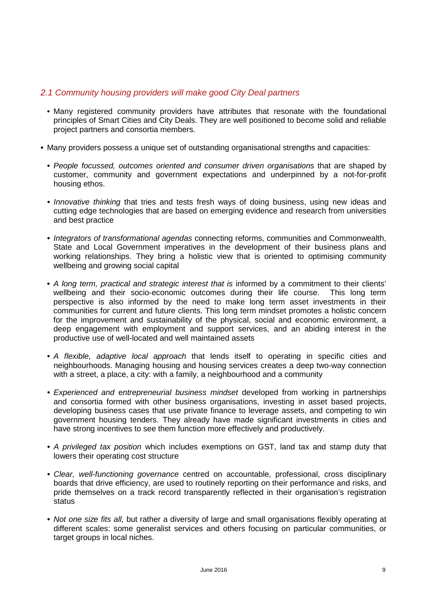## *2.1 Community housing providers will make good City Deal partners*

- Many registered community providers have attributes that resonate with the foundational principles of Smart Cities and City Deals. They are well positioned to become solid and reliable project partners and consortia members.
- **•** Many providers possess a unique set of outstanding organisational strengths and capacities:
	- *• People focussed, outcomes oriented and consumer driven organisations* that are shaped by customer, community and government expectations and underpinned by a not-for-profit housing ethos.
	- *• Innovative thinking* that tries and tests fresh ways of doing business, using new ideas and cutting edge technologies that are based on emerging evidence and research from universities and best practice
	- *• Integrators of transformational agendas* connecting reforms, communities and Commonwealth, State and Local Government imperatives in the development of their business plans and working relationships. They bring a holistic view that is oriented to optimising community wellbeing and growing social capital
	- *• A long term, practical and strategic interest that is* informed by a commitment to their clients' wellbeing and their socio-economic outcomes during their life course. perspective is also informed by the need to make long term asset investments in their communities for current and future clients. This long term mindset promotes a holistic concern for the improvement and sustainability of the physical, social and economic environment, a deep engagement with employment and support services, and an abiding interest in the productive use of well-located and well maintained assets
	- *• A flexible, adaptive local approach* that lends itself to operating in specific cities and neighbourhoods. Managing housing and housing services creates a deep two-way connection with a street, a place, a city: with a family, a neighbourhood and a community
	- *• Experienced and* e*ntrepreneurial business mindset* developed from working in partnerships and consortia formed with other business organisations, investing in asset based projects, developing business cases that use private finance to leverage assets, and competing to win government housing tenders. They already have made significant investments in cities and have strong incentives to see them function more effectively and productively.
	- *• A privileged tax position* which includes exemptions on GST, land tax and stamp duty that lowers their operating cost structure
	- *• Clear, well-functioning governance* centred on accountable, professional, cross disciplinary boards that drive efficiency, are used to routinely reporting on their performance and risks, and pride themselves on a track record transparently reflected in their organisation's registration status
	- *• Not one size fits all,* but rather a diversity of large and small organisations flexibly operating at different scales: some generalist services and others focusing on particular communities, or target groups in local niches.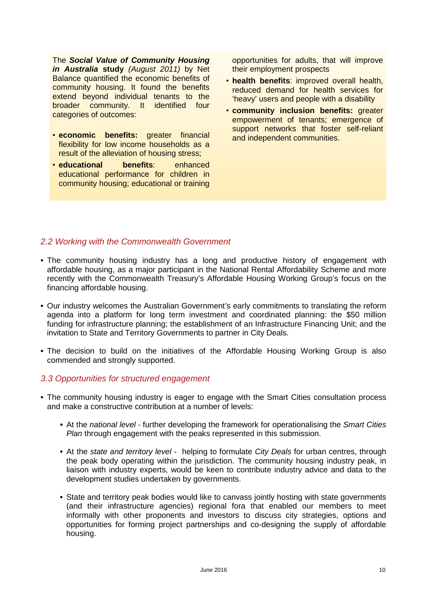The *Social Value of Community Housing in Australia* **study** *(August 2011)* by Net Balance quantified the economic benefits of community housing. It found the benefits extend beyond individual tenants to the broader community. It identified four categories of outcomes:

- **economic benefits:** greater financial flexibility for low income households as a result of the alleviation of housing stress;
- **educational benefits**: enhanced educational performance for children in community housing; educational or training

opportunities for adults, that will improve their employment prospects

- **health benefits**: improved overall health, reduced demand for health services for 'heavy' users and people with a disability
- **community inclusion benefits:** greater empowerment of tenants; emergence of support networks that foster self-reliant and independent communities.

## *2.2 Working with the Commonwealth Government*

- **•** The community housing industry has a long and productive history of engagement with affordable housing, as a major participant in the National Rental Affordability Scheme and more recently with the Commonwealth Treasury's Affordable Housing Working Group's focus on the financing affordable housing.
- **•** Our industry welcomes the Australian Government's early commitments to translating the reform agenda into a platform for long term investment and coordinated planning: the \$50 million funding for infrastructure planning; the establishment of an Infrastructure Financing Unit; and the invitation to State and Territory Governments to partner in City Deals.
- **•** The decision to build on the initiatives of the Affordable Housing Working Group is also commended and strongly supported.

## *3.3 Opportunities for structured engagement*

- **•** The community housing industry is eager to engage with the Smart Cities consultation process and make a constructive contribution at a number of levels:
	- **•** At the *national level* further developing the framework for operationalising the *Smart Cities Plan* through engagement with the peaks represented in this submission.
	- **•** At the *state and territory level* helping to formulate *City Deals* for urban centres, through the peak body operating within the jurisdiction. The community housing industry peak, in liaison with industry experts, would be keen to contribute industry advice and data to the development studies undertaken by governments.
	- **•** State and territory peak bodies would like to canvass jointly hosting with state governments (and their infrastructure agencies) regional fora that enabled our members to meet informally with other proponents and investors to discuss city strategies, options and opportunities for forming project partnerships and co-designing the supply of affordable housing.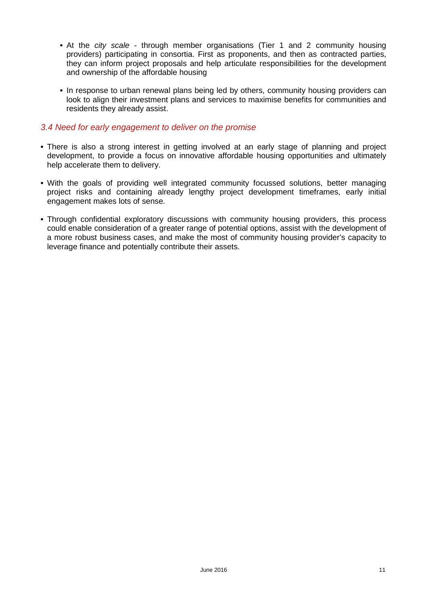- **•** At the *city scale* through member organisations (Tier 1 and 2 community housing providers) participating in consortia. First as proponents, and then as contracted parties, they can inform project proposals and help articulate responsibilities for the development and ownership of the affordable housing
- **•** In response to urban renewal plans being led by others, community housing providers can look to align their investment plans and services to maximise benefits for communities and residents they already assist.

## *3.4 Need for early engagement to deliver on the promise*

- **•** There is also a strong interest in getting involved at an early stage of planning and project development, to provide a focus on innovative affordable housing opportunities and ultimately help accelerate them to delivery.
- **•** With the goals of providing well integrated community focussed solutions, better managing project risks and containing already lengthy project development timeframes, early initial engagement makes lots of sense.
- **•** Through confidential exploratory discussions with community housing providers, this process could enable consideration of a greater range of potential options, assist with the development of a more robust business cases, and make the most of community housing provider's capacity to leverage finance and potentially contribute their assets.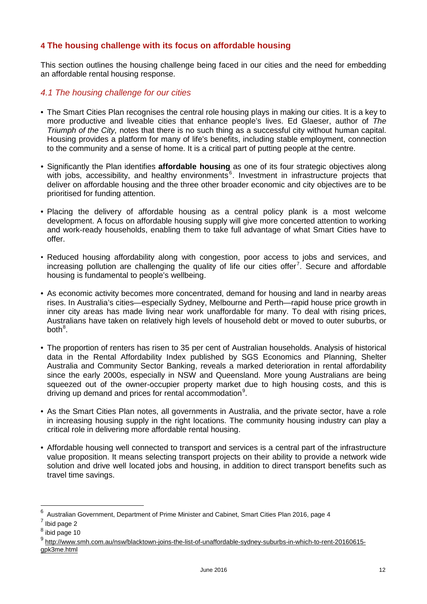## **4 The housing challenge with its focus on affordable housing**

This section outlines the housing challenge being faced in our cities and the need for embedding an affordable rental housing response.

### *4.1 The housing challenge for our cities*

- The Smart Cities Plan recognises the central role housing plays in making our cities. It is a key to more productive and liveable cities that enhance people's lives. Ed Glaeser, author of *The Triumph of the City,* notes that there is no such thing as a successful city without human capital. Housing provides a platform for many of life's benefits, including stable employment, connection to the community and a sense of home. It is a critical part of putting people at the centre.
- Significantly the Plan identifies **affordable housing** as one of its four strategic objectives along with jobs, accessibility, and healthy environments $^6$  $^6$ . Investment in infrastructure projects that deliver on affordable housing and the three other broader economic and city objectives are to be prioritised for funding attention.
- Placing the delivery of affordable housing as a central policy plank is a most welcome development. A focus on affordable housing supply will give more concerted attention to working and work-ready households, enabling them to take full advantage of what Smart Cities have to offer.
- Reduced housing affordability along with congestion, poor access to jobs and services, and increasing pollution are challenging the quality of life our cities offer<sup>[7](#page-11-1)</sup>. Secure and affordable housing is fundamental to people's wellbeing.
- As economic activity becomes more concentrated, demand for housing and land in nearby areas rises. In Australia's cities—especially Sydney, Melbourne and Perth—rapid house price growth in inner city areas has made living near work unaffordable for many. To deal with rising prices, Australians have taken on relatively high levels of household debt or moved to outer suburbs, or both $^8$  $^8$ .
- The proportion of renters has risen to 35 per cent of Australian households. Analysis of historical data in the Rental Affordability Index published by SGS Economics and Planning, Shelter Australia and Community Sector Banking, reveals a marked deterioration in rental affordability since the early 2000s, especially in NSW and Queensland. More young Australians are being squeezed out of the owner-occupier property market due to high housing costs, and this is driving up demand and prices for rental accommodation<sup>[9](#page-11-3)</sup>.
- As the Smart Cities Plan notes, all governments in Australia, and the private sector, have a role in increasing housing supply in the right locations. The community housing industry can play a critical role in delivering more affordable rental housing.
- Affordable housing well connected to transport and services is a central part of the infrastructure value proposition. It means selecting transport projects on their ability to provide a network wide solution and drive well located jobs and housing, in addition to direct transport benefits such as travel time savings.

<span id="page-11-0"></span><sup>—&</sup>lt;br>6  $\frac{6}{7}$  Australian Government, Department of Prime Minister and Cabinet, Smart Cities Plan 2016, page 4<br> $\frac{7}{7}$  lhid page 2

Ibid page 2

<span id="page-11-2"></span><span id="page-11-1"></span> $8 \text{ libid page } 10$ 

<span id="page-11-3"></span>[http://www.smh.com.au/nsw/blacktown-joins-the-list-of-unaffordable-sydney-suburbs-in-which-to-rent-20160615](http://www.smh.com.au/nsw/blacktown-joins-the-list-of-unaffordable-sydney-suburbs-in-which-to-rent-20160615-gpk3me.html) [gpk3me.html](http://www.smh.com.au/nsw/blacktown-joins-the-list-of-unaffordable-sydney-suburbs-in-which-to-rent-20160615-gpk3me.html)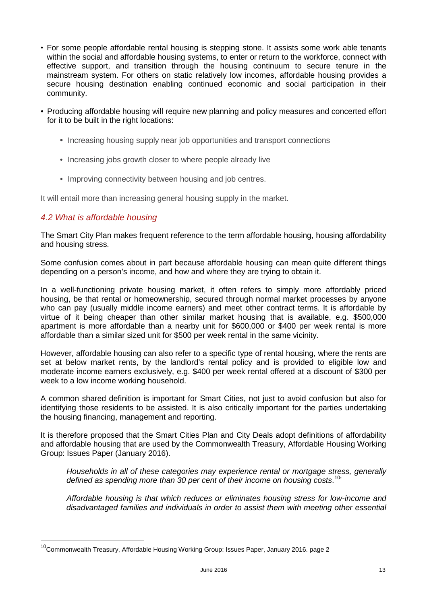- For some people affordable rental housing is stepping stone. It assists some work able tenants within the social and affordable housing systems, to enter or return to the workforce, connect with effective support, and transition through the housing continuum to secure tenure in the mainstream system. For others on static relatively low incomes, affordable housing provides a secure housing destination enabling continued economic and social participation in their community.
- Producing affordable housing will require new planning and policy measures and concerted effort for it to be built in the right locations:
	- Increasing housing supply near job opportunities and transport connections
	- Increasing jobs growth closer to where people already live
	- Improving connectivity between housing and job centres.

It will entail more than increasing general housing supply in the market.

## *4.2 What is affordable housing*

 $\overline{a}$ 

The Smart City Plan makes frequent reference to the term affordable housing, housing affordability and housing stress.

Some confusion comes about in part because affordable housing can mean quite different things depending on a person's income, and how and where they are trying to obtain it.

In a well-functioning private housing market, it often refers to simply more affordably priced housing, be that rental or homeownership, secured through normal market processes by anyone who can pay (usually middle income earners) and meet other contract terms. It is affordable by virtue of it being cheaper than other similar market housing that is available, e.g. \$500,000 apartment is more affordable than a nearby unit for \$600,000 or \$400 per week rental is more affordable than a similar sized unit for \$500 per week rental in the same vicinity.

However, affordable housing can also refer to a specific type of rental housing, where the rents are set at below market rents, by the landlord's rental policy and is provided to eligible low and moderate income earners exclusively, e.g. \$400 per week rental offered at a discount of \$300 per week to a low income working household.

A common shared definition is important for Smart Cities, not just to avoid confusion but also for identifying those residents to be assisted. It is also critically important for the parties undertaking the housing financing, management and reporting.

It is therefore proposed that the Smart Cities Plan and City Deals adopt definitions of affordability and affordable housing that are used by the Commonwealth Treasury, Affordable Housing Working Group: Issues Paper (January 2016).

*Households in all of these categories may experience rental or mortgage stress, generally defined as spending more than 30 per cent of their income on housing costs*. [10'](#page-12-0)

*Affordable housing is that which reduces or eliminates housing stress for low-income and disadvantaged families and individuals in order to assist them with meeting other essential*

<span id="page-12-0"></span><sup>&</sup>lt;sup>10</sup>Commonwealth Treasury, Affordable Housing Working Group: Issues Paper, January 2016. page 2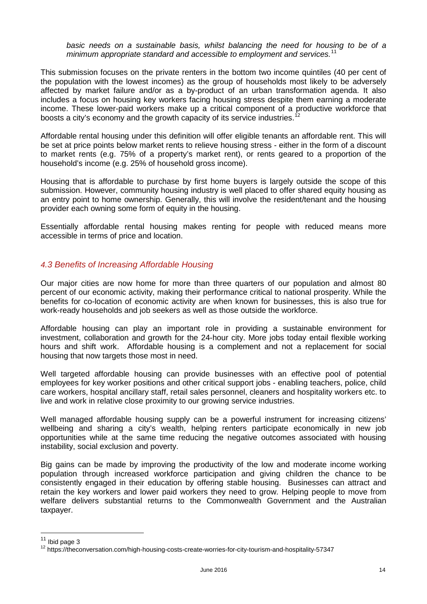*basic needs on a sustainable basis, whilst balancing the need for housing to be of a minimum appropriate standard and accessible to employment and services.*[11](#page-13-0)

This submission focuses on the private renters in the bottom two income quintiles (40 per cent of the population with the lowest incomes) as the group of households most likely to be adversely affected by market failure and/or as a by-product of an urban transformation agenda. It also includes a focus on housing key workers facing housing stress despite them earning a moderate income. These lower-paid workers make up a critical component of a productive workforce that boosts a city's economy and the growth capacity of its service industries.<sup>[12](#page-13-1)</sup>

Affordable rental housing under this definition will offer eligible tenants an affordable rent. This will be set at price points below market rents to relieve housing stress - either in the form of a discount to market rents (e.g. 75% of a property's market rent), or rents geared to a proportion of the household's income (e.g. 25% of household gross income).

Housing that is affordable to purchase by first home buyers is largely outside the scope of this submission. However, community housing industry is well placed to offer shared equity housing as an entry point to home ownership. Generally, this will involve the resident/tenant and the housing provider each owning some form of equity in the housing.

Essentially affordable rental housing makes renting for people with reduced means more accessible in terms of price and location.

## *4.3 Benefits of Increasing Affordable Housing*

Our major cities are now home for more than three quarters of our population and almost 80 percent of our economic activity, making their performance critical to national prosperity. While the benefits for co-location of economic activity are when known for businesses, this is also true for work-ready households and job seekers as well as those outside the workforce.

Affordable housing can play an important role in providing a sustainable environment for investment, collaboration and growth for the 24-hour city. More jobs today entail flexible working hours and shift work. Affordable housing is a complement and not a replacement for social housing that now targets those most in need.

Well targeted affordable housing can provide businesses with an effective pool of potential employees for key worker positions and other critical support jobs - enabling teachers, police, child care workers, hospital ancillary staff, retail sales personnel, cleaners and hospitality workers etc. to live and work in relative close proximity to our growing service industries.

Well managed affordable housing supply can be a powerful instrument for increasing citizens' wellbeing and sharing a city's wealth, helping renters participate economically in new job opportunities while at the same time reducing the negative outcomes associated with housing instability, social exclusion and poverty.

Big gains can be made by improving the productivity of the low and moderate income working population through increased workforce participation and giving children the chance to be consistently engaged in their education by offering stable housing. Businesses can attract and retain the key workers and lower paid workers they need to grow. Helping people to move from welfare delivers substantial returns to the Commonwealth Government and the Australian taxpayer.

<span id="page-13-0"></span> $11$  Ibid page 3

<span id="page-13-1"></span><sup>12</sup> https://theconversation.com/high-housing-costs-create-worries-for-city-tourism-and-hospitality-57347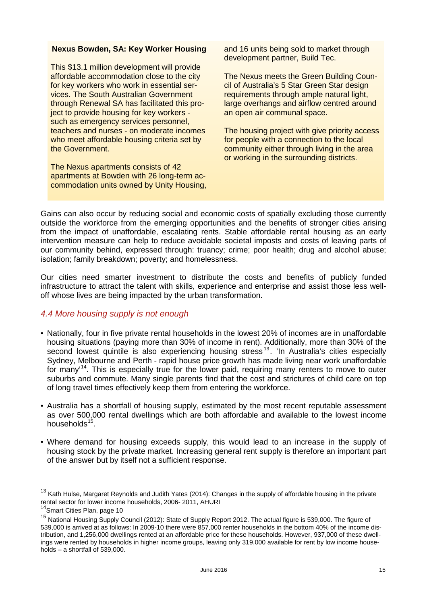#### **Nexus Bowden, SA: Key Worker Housing**

This \$13.1 million development will provide affordable accommodation close to the city for key workers who work in essential services. The South Australian Government through Renewal SA has facilitated this project to provide housing for key workers such as emergency services personnel, teachers and nurses - on moderate incomes who meet affordable housing criteria set by the Government.

The Nexus apartments consists of 42 apartments at Bowden with 26 long-term accommodation units owned by Unity Housing, and 16 units being sold to market through development partner, Build Tec.

The Nexus meets the Green Building Council of Australia's 5 Star Green Star design requirements through ample natural light, large overhangs and airflow centred around an open air communal space.

The housing project with give priority access for people with a connection to the local community either through living in the area or working in the surrounding districts.

Gains can also occur by reducing social and economic costs of spatially excluding those currently outside the workforce from the emerging opportunities and the benefits of stronger cities arising from the impact of unaffordable, escalating rents. Stable affordable rental housing as an early intervention measure can help to reduce avoidable societal imposts and costs of leaving parts of our community behind, expressed through: truancy; crime; poor health; drug and alcohol abuse; isolation; family breakdown; poverty; and homelessness.

Our cities need smarter investment to distribute the costs and benefits of publicly funded infrastructure to attract the talent with skills, experience and enterprise and assist those less welloff whose lives are being impacted by the urban transformation.

## *4.4 More housing supply is not enough*

- Nationally, four in five private rental households in the lowest 20% of incomes are in unaffordable housing situations (paying more than 30% of income in rent). Additionally, more than 30% of the second lowest quintile is also experiencing housing stress<sup>[13](#page-14-0)</sup>. 'In Australia's cities especially Sydney, Melbourne and Perth - rapid house price growth has made living near work unaffordable for many<sup> $14$ </sup>. This is especially true for the lower paid, requiring many renters to move to outer suburbs and commute. Many single parents find that the cost and strictures of child care on top of long travel times effectively keep them from entering the workforce.
- Australia has a shortfall of housing supply, estimated by the most recent reputable assessment as over 500,000 rental dwellings which are both affordable and available to the lowest income households $15$ .
- Where demand for housing exceeds supply, this would lead to an increase in the supply of housing stock by the private market. Increasing general rent supply is therefore an important part of the answer but by itself not a sufficient response.

<span id="page-14-0"></span><sup>&</sup>lt;sup>13</sup> Kath Hulse, Margaret Reynolds and Judith Yates (2014): Changes in the supply of affordable housing in the private rental sector for lower income households, 2006- 2011, AHURI

<span id="page-14-1"></span><sup>&</sup>lt;sup>14</sup>Smart Cities Plan, page 10

<span id="page-14-2"></span><sup>&</sup>lt;sup>15</sup> National Housing Supply Council (2012): State of Supply Report 2012. The actual figure is 539,000. The figure of 539,000 is arrived at as follows: In 2009-10 there were 857,000 renter households in the bottom 40% of the income distribution, and 1,256,000 dwellings rented at an affordable price for these households. However, 937,000 of these dwellings were rented by households in higher income groups, leaving only 319,000 available for rent by low income households – a shortfall of 539,000.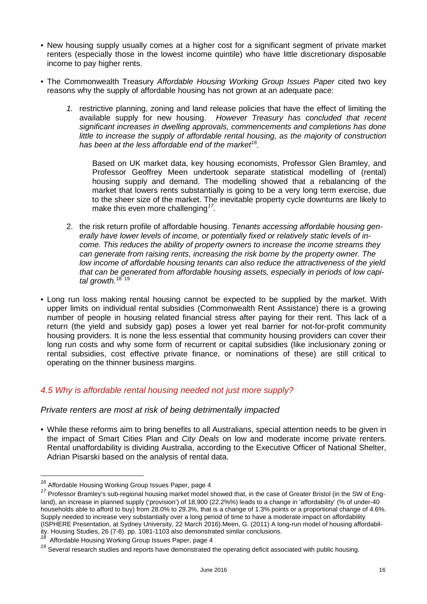- New housing supply usually comes at a higher cost for a significant segment of private market renters (especially those in the lowest income quintile) who have little discretionary disposable income to pay higher rents.
- The Commonwealth Treasury *Affordable Housing Working Group Issues Paper* cited two key reasons why the supply of affordable housing has not grown at an adequate pace:
	- *1.* restrictive planning, zoning and land release policies that have the effect of limiting the available supply for new housing. *However Treasury has concluded that recent significant increases in dwelling approvals, commencements and completions has done little to increase the supply of affordable rental housing, as the majority of construction has been at the less affordable end of the market[16.](#page-15-0)*

Based on UK market data, key housing economists, Professor Glen Bramley, and Professor Geoffrey Meen undertook separate statistical modelling of (rental) housing supply and demand. The modelling showed that a rebalancing of the market that lowers rents substantially is going to be a very long term exercise, due to the sheer size of the market. The inevitable property cycle downturns are likely to make this even more challenging*[17.](#page-15-1)*

- 2. the risk return profile of affordable housing. *Tenants accessing affordable housing generally have lower levels of income, or potentially fixed or relatively static levels of income. This reduces the ability of property owners to increase the income streams they can generate from raising rents, increasing the risk borne by the property owner. The low income of affordable housing tenants can also reduce the attractiveness of the yield that can be generated from affordable housing assets, especially in periods of low capi*tal *growth*.<sup>[18](#page-15-2) [19](#page-15-3)</sup>
- Long run loss making rental housing cannot be expected to be supplied by the market. With upper limits on individual rental subsidies (Commonwealth Rent Assistance) there is a growing number of people in housing related financial stress after paying for their rent. This lack of a return (the yield and subsidy gap) poses a lower yet real barrier for not-for-profit community housing providers. It is none the less essential that community housing providers can cover their long run costs and why some form of recurrent or capital subsidies (like inclusionary zoning or rental subsidies, cost effective private finance, or nominations of these) are still critical to operating on the thinner business margins.

## *4.5 Why is affordable rental housing needed not just more supply?*

#### *Private renters are most at risk of being detrimentally impacted*

• While these reforms aim to bring benefits to all Australians, special attention needs to be given in the impact of Smart Cities Plan and *City Deals* on low and moderate income private renters. Rental unaffordability is dividing Australia, according to the Executive Officer of National Shelter, Adrian Pisarski based on the analysis of rental data.

<span id="page-15-0"></span>*<sup>16</sup>* Affordable Housing Working Group Issues Paper, page 4

<span id="page-15-1"></span><sup>&</sup>lt;sup>17</sup> Professor Bramley's sub-regional housing market model showed that, in the case of Greater Bristol (in the SW of England), an increase in planned supply ('provision') of 18,900 (22.2%%) leads to a change in 'affordability' (% of under-40 households able to afford to buy) from 28.0% to 29.3%, that is a change of 1.3% points or a proportional change of 4.6%. Supply needed to increase very substantially over a long period of time to have a moderate impact on affordability (ISPHERE Presentation, at Sydney University, 22 March 2016).Meen, G. (2011) A long-run model of housing affordability. Housing Studies, 26 (7-8). pp. 1081-1103 also demonstrated similar conclusions.

<span id="page-15-2"></span>*<sup>18</sup>* Affordable Housing Working Group Issues Paper, page 4

<span id="page-15-3"></span>*<sup>19</sup>* Several research studies and reports have demonstrated the operating deficit associated with public housing.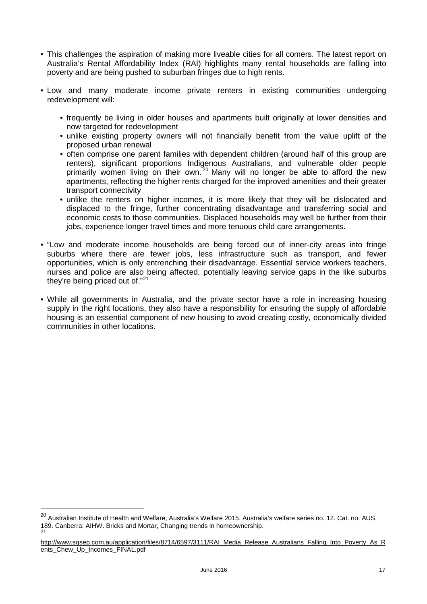- This challenges the aspiration of making more liveable cities for all comers. The latest report on Australia's Rental Affordability Index (RAI) highlights many rental households are falling into poverty and are being pushed to suburban fringes due to high rents.
- Low and many moderate income private renters in existing communities undergoing redevelopment will:
	- frequently be living in older houses and apartments built originally at lower densities and now targeted for redevelopment
	- unlike existing property owners will not financially benefit from the value uplift of the proposed urban renewal
	- often comprise one parent families with dependent children (around half of this group are renters), significant proportions Indigenous Australians, and vulnerable older people primarily women living on their own.<sup>[20](#page-16-0)</sup> Many will no longer be able to afford the new apartments, reflecting the higher rents charged for the improved amenities and their greater transport connectivity
	- unlike the renters on higher incomes, it is more likely that they will be dislocated and displaced to the fringe, further concentrating disadvantage and transferring social and economic costs to those communities. Displaced households may well be further from their jobs, experience longer travel times and more tenuous child care arrangements.
- "Low and moderate income households are being forced out of inner-city areas into fringe suburbs where there are fewer jobs, less infrastructure such as transport, and fewer opportunities, which is only entrenching their disadvantage. Essential service workers teachers, nurses and police are also being affected, potentially leaving service gaps in the like suburbs they're being priced out of."<sup>[21](#page-16-1)</sup>
- While all governments in Australia, and the private sector have a role in increasing housing supply in the right locations, they also have a responsibility for ensuring the supply of affordable housing is an essential component of new housing to avoid creating costly, economically divided communities in other locations.

<span id="page-16-0"></span><sup>&</sup>lt;sup>20</sup> Australian Institute of Health and Welfare, Australia's Welfare 2015. Australia's welfare series no. 12. Cat. no. AUS 189. Canberra: AIHW. Bricks and Mortar, Changing trends in homeownership. 21

<span id="page-16-1"></span>[http://www.sgsep.com.au/application/files/8714/6597/3111/RAI\\_Media\\_Release\\_Australians\\_Falling\\_Into\\_Poverty\\_As\\_R](http://www.sgsep.com.au/application/files/8714/6597/3111/RAI_Media_Release_Australians_Falling_Into_Poverty_As_Rents_Chew_Up_Incomes_FINAL.pdf) [ents\\_Chew\\_Up\\_Incomes\\_FINAL.pdf](http://www.sgsep.com.au/application/files/8714/6597/3111/RAI_Media_Release_Australians_Falling_Into_Poverty_As_Rents_Chew_Up_Incomes_FINAL.pdf)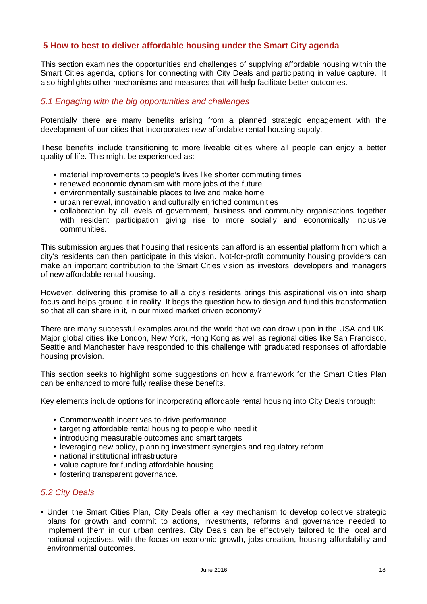## **5 How to best to deliver affordable housing under the Smart City agenda**

This section examines the opportunities and challenges of supplying affordable housing within the Smart Cities agenda, options for connecting with City Deals and participating in value capture. It also highlights other mechanisms and measures that will help facilitate better outcomes.

## *5.1 Engaging with the big opportunities and challenges*

Potentially there are many benefits arising from a planned strategic engagement with the development of our cities that incorporates new affordable rental housing supply.

These benefits include transitioning to more liveable cities where all people can enjoy a better quality of life. This might be experienced as:

- material improvements to people's lives like shorter commuting times
- renewed economic dynamism with more jobs of the future
- environmentally sustainable places to live and make home
- urban renewal, innovation and culturally enriched communities
- collaboration by all levels of government, business and community organisations together with resident participation giving rise to more socially and economically inclusive communities.

This submission argues that housing that residents can afford is an essential platform from which a city's residents can then participate in this vision. Not-for-profit community housing providers can make an important contribution to the Smart Cities vision as investors, developers and managers of new affordable rental housing.

However, delivering this promise to all a city's residents brings this aspirational vision into sharp focus and helps ground it in reality. It begs the question how to design and fund this transformation so that all can share in it, in our mixed market driven economy?

There are many successful examples around the world that we can draw upon in the USA and UK. Major global cities like London, New York, Hong Kong as well as regional cities like San Francisco, Seattle and Manchester have responded to this challenge with graduated responses of affordable housing provision.

This section seeks to highlight some suggestions on how a framework for the Smart Cities Plan can be enhanced to more fully realise these benefits.

Key elements include options for incorporating affordable rental housing into City Deals through:

- Commonwealth incentives to drive performance
- targeting affordable rental housing to people who need it
- introducing measurable outcomes and smart targets
- leveraging new policy, planning investment synergies and regulatory reform
- national institutional infrastructure
- value capture for funding affordable housing
- fostering transparent governance.

### *5.2 City Deals*

**•** Under the Smart Cities Plan, City Deals offer a key mechanism to develop collective strategic plans for growth and commit to actions, investments, reforms and governance needed to implement them in our urban centres. City Deals can be effectively tailored to the local and national objectives, with the focus on economic growth, jobs creation, housing affordability and environmental outcomes.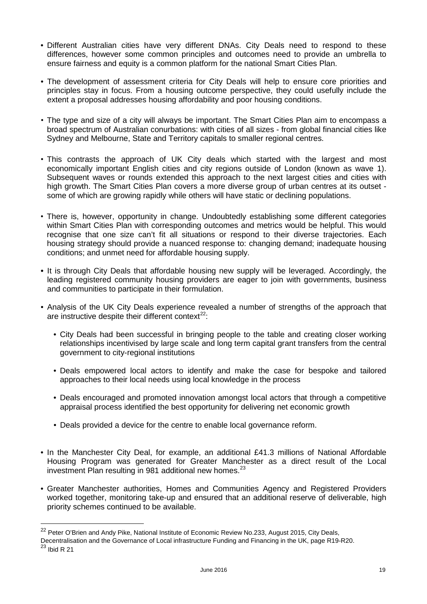- Different Australian cities have very different DNAs. City Deals need to respond to these differences, however some common principles and outcomes need to provide an umbrella to ensure fairness and equity is a common platform for the national Smart Cities Plan.
- The development of assessment criteria for City Deals will help to ensure core priorities and principles stay in focus. From a housing outcome perspective, they could usefully include the extent a proposal addresses housing affordability and poor housing conditions.
- The type and size of a city will always be important. The Smart Cities Plan aim to encompass a broad spectrum of Australian conurbations: with cities of all sizes - from global financial cities like Sydney and Melbourne, State and Territory capitals to smaller regional centres.
- This contrasts the approach of UK City deals which started with the largest and most economically important English cities and city regions outside of London (known as wave 1). Subsequent waves or rounds extended this approach to the next largest cities and cities with high growth. The Smart Cities Plan covers a more diverse group of urban centres at its outset some of which are growing rapidly while others will have static or declining populations.
- There is, however, opportunity in change. Undoubtedly establishing some different categories within Smart Cities Plan with corresponding outcomes and metrics would be helpful. This would recognise that one size can't fit all situations or respond to their diverse trajectories. Each housing strategy should provide a nuanced response to: changing demand; inadequate housing conditions; and unmet need for affordable housing supply.
- **•** It is through City Deals that affordable housing new supply will be leveraged. Accordingly, the leading registered community housing providers are eager to join with governments, business and communities to participate in their formulation.
- Analysis of the UK City Deals experience revealed a number of strengths of the approach that are instructive despite their different context $^{22}$ :
	- City Deals had been successful in bringing people to the table and creating closer working relationships incentivised by large scale and long term capital grant transfers from the central government to city-regional institutions
	- Deals empowered local actors to identify and make the case for bespoke and tailored approaches to their local needs using local knowledge in the process
	- Deals encouraged and promoted innovation amongst local actors that through a competitive appraisal process identified the best opportunity for delivering net economic growth
	- Deals provided a device for the centre to enable local governance reform.
- In the Manchester City Deal, for example, an additional £41.3 millions of National Affordable Housing Program was generated for Greater Manchester as a direct result of the Local investment Plan resulting in 981 additional new homes. $^{23}$  $^{23}$  $^{23}$
- Greater Manchester authorities, Homes and Communities Agency and Registered Providers worked together, monitoring take-up and ensured that an additional reserve of deliverable, high priority schemes continued to be available.

<span id="page-18-0"></span><sup>&</sup>lt;sup>22</sup> Peter O'Brien and Andy Pike, National Institute of Economic Review No.233, August 2015, City Deals,

Decentralisation and the Governance of Local infrastructure Funding and Financing in the UK, page R19-R20.

<span id="page-18-1"></span> $23$  Ibid R 21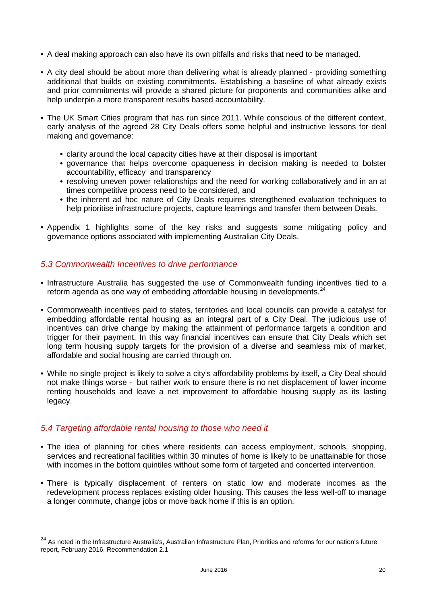- A deal making approach can also have its own pitfalls and risks that need to be managed.
- A city deal should be about more than delivering what is already planned providing something additional that builds on existing commitments. Establishing a baseline of what already exists and prior commitments will provide a shared picture for proponents and communities alike and help underpin a more transparent results based accountability.
- **•** The UK Smart Cities program that has run since 2011. While conscious of the different context, early analysis of the agreed 28 City Deals offers some helpful and instructive lessons for deal making and governance:
	- **•** clarity around the local capacity cities have at their disposal is important
	- **•** governance that helps overcome opaqueness in decision making is needed to bolster accountability, efficacy and transparency
	- **•** resolving uneven power relationships and the need for working collaboratively and in an at times competitive process need to be considered, and
	- **•** the inherent ad hoc nature of City Deals requires strengthened evaluation techniques to help prioritise infrastructure projects, capture learnings and transfer them between Deals.
- **•** Appendix 1 highlights some of the key risks and suggests some mitigating policy and governance options associated with implementing Australian City Deals.

## *5.3 Commonwealth Incentives to drive performance*

- Infrastructure Australia has suggested the use of Commonwealth funding incentives tied to a reform agenda as one way of embedding affordable housing in developments. $24$
- Commonwealth incentives paid to states, territories and local councils can provide a catalyst for embedding affordable rental housing as an integral part of a City Deal. The judicious use of incentives can drive change by making the attainment of performance targets a condition and trigger for their payment. In this way financial incentives can ensure that City Deals which set long term housing supply targets for the provision of a diverse and seamless mix of market, affordable and social housing are carried through on.
- While no single project is likely to solve a city's affordability problems by itself, a City Deal should not make things worse - but rather work to ensure there is no net displacement of lower income renting households and leave a net improvement to affordable housing supply as its lasting legacy.

### *5.4 Targeting affordable rental housing to those who need it*

- The idea of planning for cities where residents can access employment, schools, shopping, services and recreational facilities within 30 minutes of home is likely to be unattainable for those with incomes in the bottom quintiles without some form of targeted and concerted intervention.
- There is typically displacement of renters on static low and moderate incomes as the redevelopment process replaces existing older housing. This causes the less well-off to manage a longer commute, change jobs or move back home if this is an option.

<span id="page-19-0"></span><sup>&</sup>lt;sup>24</sup> As noted in the Infrastructure Australia's, Australian Infrastructure Plan, Priorities and reforms for our nation's future report, February 2016, Recommendation 2.1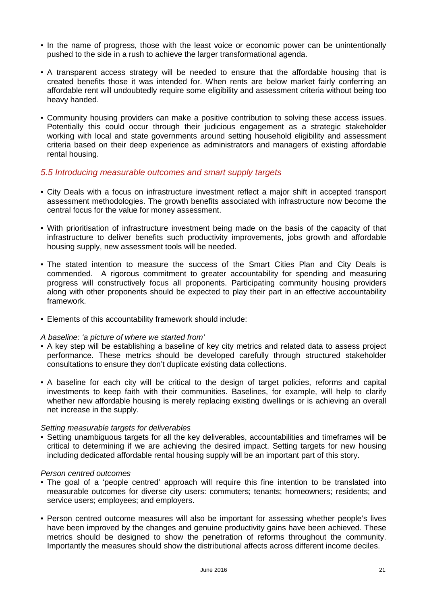- In the name of progress, those with the least voice or economic power can be unintentionally pushed to the side in a rush to achieve the larger transformational agenda.
- A transparent access strategy will be needed to ensure that the affordable housing that is created benefits those it was intended for. When rents are below market fairly conferring an affordable rent will undoubtedly require some eligibility and assessment criteria without being too heavy handed.
- Community housing providers can make a positive contribution to solving these access issues. Potentially this could occur through their judicious engagement as a strategic stakeholder working with local and state governments around setting household eligibility and assessment criteria based on their deep experience as administrators and managers of existing affordable rental housing.

## *5.5 Introducing measurable outcomes and smart supply targets*

- **•** City Deals with a focus on infrastructure investment reflect a major shift in accepted transport assessment methodologies. The growth benefits associated with infrastructure now become the central focus for the value for money assessment.
- **•** With prioritisation of infrastructure investment being made on the basis of the capacity of that infrastructure to deliver benefits such productivity improvements, jobs growth and affordable housing supply, new assessment tools will be needed.
- The stated intention to measure the success of the Smart Cities Plan and City Deals is commended. A rigorous commitment to greater accountability for spending and measuring progress will constructively focus all proponents. Participating community housing providers along with other proponents should be expected to play their part in an effective accountability framework.
- Elements of this accountability framework should include:

### *A baseline: 'a picture of where we started from'*

- A key step will be establishing a baseline of key city metrics and related data to assess project performance. These metrics should be developed carefully through structured stakeholder consultations to ensure they don't duplicate existing data collections.
- A baseline for each city will be critical to the design of target policies, reforms and capital investments to keep faith with their communities. Baselines, for example, will help to clarify whether new affordable housing is merely replacing existing dwellings or is achieving an overall net increase in the supply.

### *Setting measurable targets for deliverables*

• Setting unambiguous targets for all the key deliverables, accountabilities and timeframes will be critical to determining if we are achieving the desired impact. Setting targets for new housing including dedicated affordable rental housing supply will be an important part of this story.

### *Person centred outcomes*

- The goal of a 'people centred' approach will require this fine intention to be translated into measurable outcomes for diverse city users: commuters; tenants; homeowners; residents; and service users; employees; and employers.
- Person centred outcome measures will also be important for assessing whether people's lives have been improved by the changes and genuine productivity gains have been achieved. These metrics should be designed to show the penetration of reforms throughout the community. Importantly the measures should show the distributional affects across different income deciles.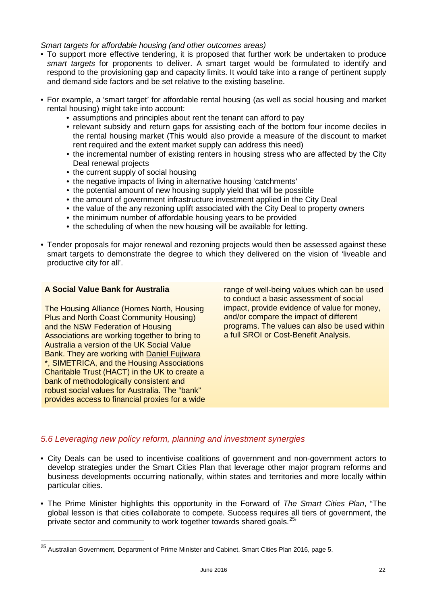#### *Smart targets for affordable housing (and other outcomes areas)*

- To support more effective tendering, it is proposed that further work be undertaken to produce *smart targets* for proponents to deliver. A smart target would be formulated to identify and respond to the provisioning gap and capacity limits. It would take into a range of pertinent supply and demand side factors and be set relative to the existing baseline.
- For example, a 'smart target' for affordable rental housing (as well as social housing and market rental housing) might take into account:
	- assumptions and principles about rent the tenant can afford to pay
	- relevant subsidy and return gaps for assisting each of the bottom four income deciles in the rental housing market (This would also provide a measure of the discount to market rent required and the extent market supply can address this need)
	- the incremental number of existing renters in housing stress who are affected by the City Deal renewal projects
	- the current supply of social housing
	- the negative impacts of living in alternative housing 'catchments'
	- the potential amount of new housing supply yield that will be possible
	- the amount of government infrastructure investment applied in the City Deal
	- the value of the any rezoning uplift associated with the City Deal to property owners
	- the minimum number of affordable housing years to be provided
	- the scheduling of when the new housing will be available for letting.
- Tender proposals for major renewal and rezoning projects would then be assessed against these smart targets to demonstrate the degree to which they delivered on the vision of 'liveable and productive city for all'.

## **A Social Value Bank for Australia**

 $\overline{a}$ 

The Housing Alliance (Homes North, Housing Plus and North Coast Community Housing) and the NSW Federation of Housing Associations are working together to bring to Australia a version of the UK Social Value Bank. They are working with Daniel [Fujiwara](http://www.simetrica.co.uk/) \*, SIMETRICA, and the Housing Associations Charitable Trust (HACT) in the UK to create a bank of methodologically consistent and robust social values for Australia. The "bank" provides access to financial proxies for a wide range of well-being values which can be used to conduct a basic assessment of social impact, provide evidence of value for money, and/or compare the impact of different programs. The values can also be used within a full SROI or Cost-Benefit Analysis.

### *5.6 Leveraging new policy reform, planning and investment synergies*

- City Deals can be used to incentivise coalitions of government and non-government actors to develop strategies under the Smart Cities Plan that leverage other major program reforms and business developments occurring nationally, within states and territories and more locally within particular cities.
- The Prime Minister highlights this opportunity in the Forward of *The Smart Cities Plan*, "The global lesson is that cities collaborate to compete. Success requires all tiers of government, the private sector and community to work together towards shared goals.<sup>[25](#page-21-0)</sup>

<span id="page-21-0"></span><sup>&</sup>lt;sup>25</sup> Australian Government, Department of Prime Minister and Cabinet, Smart Cities Plan 2016, page 5.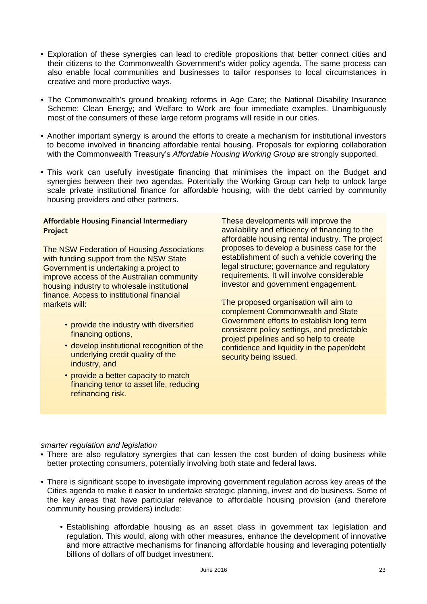- Exploration of these synergies can lead to credible propositions that better connect cities and their citizens to the Commonwealth Government's wider policy agenda. The same process can also enable local communities and businesses to tailor responses to local circumstances in creative and more productive ways.
- The Commonwealth's ground breaking reforms in Age Care; the National Disability Insurance Scheme; Clean Energy; and Welfare to Work are four immediate examples. Unambiguously most of the consumers of these large reform programs will reside in our cities.
- Another important synergy is around the efforts to create a mechanism for institutional investors to become involved in financing affordable rental housing. Proposals for exploring collaboration with the Commonwealth Treasury's *Affordable Housing Working Group* are strongly supported.
- This work can usefully investigate financing that minimises the impact on the Budget and synergies between their two agendas. Potentially the Working Group can help to unlock large scale private institutional finance for affordable housing, with the debt carried by community housing providers and other partners.

#### **Affordable Housing Financial Intermediary Project**

The NSW Federation of Housing Associations with funding support from the NSW State Government is undertaking a project to improve access of the Australian community housing industry to wholesale institutional finance. Access to institutional financial markets will:

- provide the industry with diversified financing options,
- develop institutional recognition of the underlying credit quality of the industry, and
- provide a better capacity to match financing tenor to asset life, reducing refinancing risk.

These developments will improve the availability and efficiency of financing to the affordable housing rental industry. The project proposes to develop a business case for the establishment of such a vehicle covering the legal structure; governance and regulatory requirements. It will involve considerable investor and government engagement.

The proposed organisation will aim to complement Commonwealth and State Government efforts to establish long term consistent policy settings, and predictable project pipelines and so help to create confidence and liquidity in the paper/debt security being issued.

### *smarter regulation and legislation*

- There are also regulatory synergies that can lessen the cost burden of doing business while better protecting consumers, potentially involving both state and federal laws.
- There is significant scope to investigate improving government regulation across key areas of the Cities agenda to make it easier to undertake strategic planning, invest and do business. Some of the key areas that have particular relevance to affordable housing provision (and therefore community housing providers) include:
	- Establishing affordable housing as an asset class in government tax legislation and regulation. This would, along with other measures, enhance the development of innovative and more attractive mechanisms for financing affordable housing and leveraging potentially billions of dollars of off budget investment.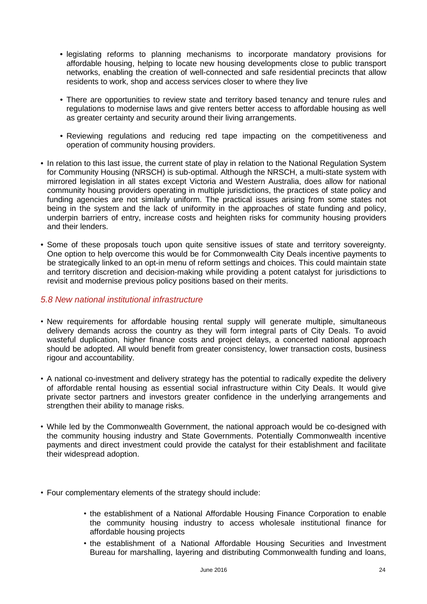- legislating reforms to planning mechanisms to incorporate mandatory provisions for affordable housing, helping to locate new housing developments close to public transport networks, enabling the creation of well-connected and safe residential precincts that allow residents to work, shop and access services closer to where they live
- There are opportunities to review state and territory based tenancy and tenure rules and regulations to modernise laws and give renters better access to affordable housing as well as greater certainty and security around their living arrangements.
- Reviewing regulations and reducing red tape impacting on the competitiveness and operation of community housing providers.
- In relation to this last issue, the current state of play in relation to the National Regulation System for Community Housing (NRSCH) is sub-optimal. Although the NRSCH, a multi-state system with mirrored legislation in all states except Victoria and Western Australia, does allow for national community housing providers operating in multiple jurisdictions, the practices of state policy and funding agencies are not similarly uniform. The practical issues arising from some states not being in the system and the lack of uniformity in the approaches of state funding and policy, underpin barriers of entry, increase costs and heighten risks for community housing providers and their lenders.
- Some of these proposals touch upon quite sensitive issues of state and territory sovereignty. One option to help overcome this would be for Commonwealth City Deals incentive payments to be strategically linked to an opt-in menu of reform settings and choices. This could maintain state and territory discretion and decision-making while providing a potent catalyst for jurisdictions to revisit and modernise previous policy positions based on their merits.

## *5.8 New national institutional infrastructure*

- New requirements for affordable housing rental supply will generate multiple, simultaneous delivery demands across the country as they will form integral parts of City Deals. To avoid wasteful duplication, higher finance costs and project delays, a concerted national approach should be adopted. All would benefit from greater consistency, lower transaction costs, business rigour and accountability.
- A national co-investment and delivery strategy has the potential to radically expedite the delivery of affordable rental housing as essential social infrastructure within City Deals. It would give private sector partners and investors greater confidence in the underlying arrangements and strengthen their ability to manage risks.
- While led by the Commonwealth Government, the national approach would be co-designed with the community housing industry and State Governments. Potentially Commonwealth incentive payments and direct investment could provide the catalyst for their establishment and facilitate their widespread adoption.
- Four complementary elements of the strategy should include:
	- the establishment of a National Affordable Housing Finance Corporation to enable the community housing industry to access wholesale institutional finance for affordable housing projects
	- the establishment of a National Affordable Housing Securities and Investment Bureau for marshalling, layering and distributing Commonwealth funding and loans,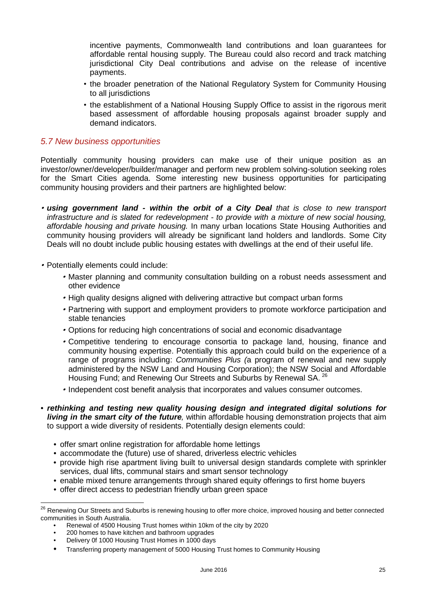incentive payments, Commonwealth land contributions and loan guarantees for affordable rental housing supply. The Bureau could also record and track matching jurisdictional City Deal contributions and advise on the release of incentive payments.

- the broader penetration of the National Regulatory System for Community Housing to all jurisdictions
- the establishment of a National Housing Supply Office to assist in the rigorous merit based assessment of affordable housing proposals against broader supply and demand indicators.

### *5.7 New business opportunities*

Potentially community housing providers can make use of their unique position as an investor/owner/developer/builder/manager and perform new problem solving-solution seeking roles for the Smart Cities agenda. Some interesting new business opportunities for participating community housing providers and their partners are highlighted below:

- *using government land - within the orbit of a City Deal that is close to new transport infrastructure and is slated for redevelopment - to provide with a mixture of new social housing, affordable housing and private housing.* In many urban locations State Housing Authorities and community housing providers will already be significant land holders and landlords. Some City Deals will no doubt include public housing estates with dwellings at the end of their useful life.
- Potentially elements could include:
	- Master planning and community consultation building on a robust needs assessment and other evidence
	- High quality designs aligned with delivering attractive but compact urban forms
	- Partnering with support and employment providers to promote workforce participation and stable tenancies
	- Options for reducing high concentrations of social and economic disadvantage
	- Competitive tendering to encourage consortia to package land, housing, finance and community housing expertise. Potentially this approach could build on the experience of a range of programs including: *Communities Plus (*a program of renewal and new supply administered by the NSW Land and Housing Corporation); the NSW Social and Affordable Housing Fund; and Renewing Our Streets and Suburbs by Renewal SA. [26](#page-24-0)
	- Independent cost benefit analysis that incorporates and values consumer outcomes.
- *• rethinking and testing new quality housing design and integrated digital solutions for living in the smart city of the future,* within affordable housing demonstration projects that aim to support a wide diversity of residents. Potentially design elements could:
	- offer smart online registration for affordable home lettings
	- accommodate the (future) use of shared, driverless electric vehicles
	- provide high rise apartment living built to universal design standards complete with sprinkler services, dual lifts, communal stairs and smart sensor technology
	- enable mixed tenure arrangements through shared equity offerings to first home buyers
	- offer direct access to pedestrian friendly urban green space

- Renewal of 4500 Housing Trust homes within 10km of the city by 2020
- 200 homes to have kitchen and bathroom upgrades
- Delivery 0f 1000 Housing Trust Homes in 1000 days
- Transferring property management of 5000 Housing Trust homes to Community Housing

<span id="page-24-0"></span><sup>&</sup>lt;sup>26</sup> Renewing Our Streets and Suburbs is renewing housing to offer more choice, improved housing and better connected communities in South Australia.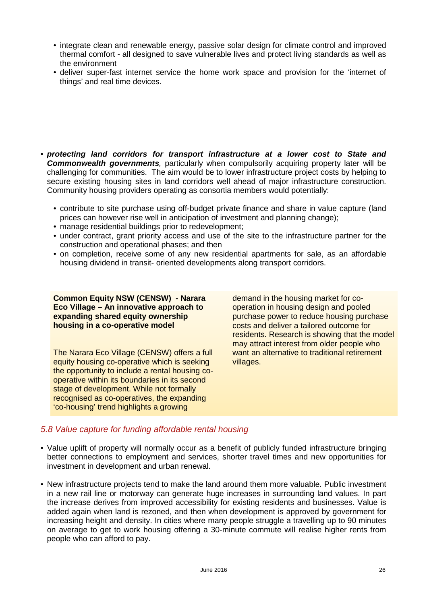- integrate clean and renewable energy, passive solar design for climate control and improved thermal comfort - all designed to save vulnerable lives and protect living standards as well as the environment
- deliver super-fast internet service the home work space and provision for the 'internet of things' and real time devices.

- *• protecting land corridors for transport infrastructure at a lower cost to State and Commonwealth governments,* particularly when compulsorily acquiring property later will be challenging for communities. The aim would be to lower infrastructure project costs by helping to secure existing housing sites in land corridors well ahead of major infrastructure construction. Community housing providers operating as consortia members would potentially:
	- contribute to site purchase using off-budget private finance and share in value capture (land prices can however rise well in anticipation of investment and planning change);
	- manage residential buildings prior to redevelopment;
	- under contract, grant priority access and use of the site to the infrastructure partner for the construction and operational phases; and then
	- on completion, receive some of any new residential apartments for sale, as an affordable housing dividend in transit- oriented developments along transport corridors.

**Common Equity NSW (CENSW) - Narara Eco Village – An innovative approach to expanding shared equity ownership housing in a co-operative model**

The Narara Eco Village (CENSW) offers a full equity housing co-operative which is seeking the opportunity to include a rental housing cooperative within its boundaries in its second stage of development. While not formally recognised as co-operatives, the expanding 'co-housing' trend highlights a growing

demand in the housing market for cooperation in housing design and pooled purchase power to reduce housing purchase costs and deliver a tailored outcome for residents. Research is showing that the model may attract interest from older people who want an alternative to traditional retirement villages.

# *5.8 Value capture for funding affordable rental housing*

- Value uplift of property will normally occur as a benefit of publicly funded infrastructure bringing better connections to employment and services, shorter travel times and new opportunities for investment in development and urban renewal.
- New infrastructure projects tend to make the land around them more valuable. Public investment in a new rail line or motorway can generate huge increases in surrounding land values. In part the increase derives from improved accessibility for existing residents and businesses. Value is added again when land is rezoned, and then when development is approved by government for increasing height and density. In cities where many people struggle a travelling up to 90 minutes on average to get to work housing offering a 30-minute commute will realise higher rents from people who can afford to pay.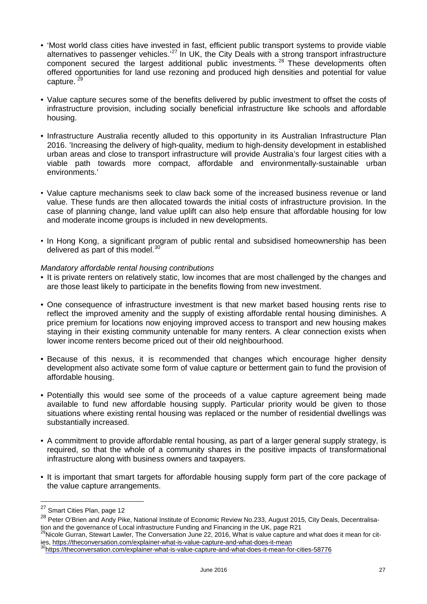- 'Most world class cities have invested in fast, efficient public transport systems to provide viable alternatives to passenger vehicles.<sup>[27](#page-26-0)</sup> In UK, the City Deals with a strong transport infrastructure component secured the largest additional public investments. [28](#page-26-1) These developments often offered opportunities for land use rezoning and produced high densities and potential for value capture. $^{2}$
- Value capture secures some of the benefits delivered by public investment to offset the costs of infrastructure provision, including socially beneficial infrastructure like schools and affordable housing.
- Infrastructure Australia recently alluded to this opportunity in its Australian Infrastructure Plan 2016. 'Increasing the delivery of high-quality, medium to high-density development in established urban areas and close to transport infrastructure will provide Australia's four largest cities with a viable path towards more compact, affordable and environmentally-sustainable urban environments.'
- Value capture mechanisms seek to claw back some of the increased business revenue or land value. These funds are then allocated towards the initial costs of infrastructure provision. In the case of planning change, land value uplift can also help ensure that affordable housing for low and moderate income groups is included in new developments.
- In Hong Kong, a significant program of public rental and subsidised homeownership has been delivered as part of this model.<sup>[30](#page-26-3)</sup>

### *Mandatory affordable rental housing contributions*

- It is private renters on relatively static, low incomes that are most challenged by the changes and are those least likely to participate in the benefits flowing from new investment.
- One consequence of infrastructure investment is that new market based housing rents rise to reflect the improved amenity and the supply of existing affordable rental housing diminishes. A price premium for locations now enjoying improved access to transport and new housing makes staying in their existing community untenable for many renters. A clear connection exists when lower income renters become priced out of their old neighbourhood.
- Because of this nexus, it is recommended that changes which encourage higher density development also activate some form of value capture or betterment gain to fund the provision of affordable housing.
- Potentially this would see some of the proceeds of a value capture agreement being made available to fund new affordable housing supply. Particular priority would be given to those situations where existing rental housing was replaced or the number of residential dwellings was substantially increased.
- A commitment to provide affordable rental housing, as part of a larger general supply strategy, is required, so that the whole of a community shares in the positive impacts of transformational infrastructure along with business owners and taxpayers.
- It is important that smart targets for affordable housing supply form part of the core package of the value capture arrangements.

<span id="page-26-0"></span><sup>&</sup>lt;sup>27</sup> Smart Cities Plan, page 12

<span id="page-26-1"></span><sup>&</sup>lt;sup>28</sup> Peter O'Brien and Andy Pike, National Institute of Economic Review No.233, August 2015, City Deals, Decentralisation and the governance of Local infrastructure Funding and Financing in the UK, page R21<br><sup>29</sup>Nicole Gurran, Stewart Lawler, The Conversation June 22, 2016, What is value capture and what does it mean for cit-

<span id="page-26-2"></span>ies, <https://theconversation.com/explainer-what-is-value-capture-and-what-does-it-mean> [30https://theconversation.com/explainer-what-is-value-capture-and-what-does-it-mean-for-cities-58776](https://theconversation.com/explainer-what-is-value-capture-and-what-does-it-mean-for-cities-58776)

<span id="page-26-3"></span>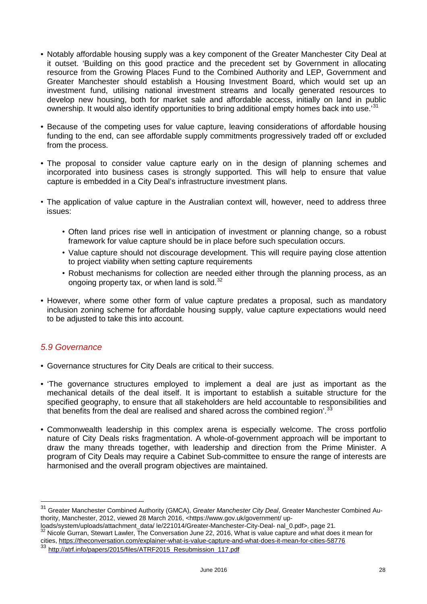- Notably affordable housing supply was a key component of the Greater Manchester City Deal at it outset. 'Building on this good practice and the precedent set by Government in allocating resource from the Growing Places Fund to the Combined Authority and LEP, Government and Greater Manchester should establish a Housing Investment Board, which would set up an investment fund, utilising national investment streams and locally generated resources to develop new housing, both for market sale and affordable access, initially on land in public ownership. It would also identify opportunities to bring additional empty homes back into use.<sup>[31](#page-27-0)</sup>
- Because of the competing uses for value capture, leaving considerations of affordable housing funding to the end, can see affordable supply commitments progressively traded off or excluded from the process.
- The proposal to consider value capture early on in the design of planning schemes and incorporated into business cases is strongly supported. This will help to ensure that value capture is embedded in a City Deal's infrastructure investment plans.
- The application of value capture in the Australian context will, however, need to address three issues:
	- Often land prices rise well in anticipation of investment or planning change, so a robust framework for value capture should be in place before such speculation occurs.
	- Value capture should not discourage development. This will require paying close attention to project viability when setting capture requirements
	- Robust mechanisms for collection are needed either through the planning process, as an ongoing property tax, or when land is sold. $32$
- However, where some other form of value capture predates a proposal, such as mandatory inclusion zoning scheme for affordable housing supply, value capture expectations would need to be adjusted to take this into account.

## *5.9 Governance*

 $\overline{a}$ 

- Governance structures for City Deals are critical to their success.
- 'The governance structures employed to implement a deal are just as important as the mechanical details of the deal itself. It is important to establish a suitable structure for the specified geography, to ensure that all stakeholders are held accountable to responsibilities and that benefits from the deal are realised and shared across the combined region'. $\mathbf{S}$
- Commonwealth leadership in this complex arena is especially welcome. The cross portfolio nature of City Deals risks fragmentation. A whole-of-government approach will be important to draw the many threads together, with leadership and direction from the Prime Minister. A program of City Deals may require a Cabinet Sub-committee to ensure the range of interests are harmonised and the overall program objectives are maintained.

<sup>32</sup> Nicole Gurran, Stewart Lawler, The Conversation June 22, 2016, What is value capture and what does it mean for

<span id="page-27-1"></span>cities, <https://theconversation.com/explainer-what-is-value-capture-and-what-does-it-mean-for-cities-58776>

<span id="page-27-0"></span><sup>31</sup> Greater Manchester Combined Authority (GMCA), *Greater Manchester City Deal*, Greater Manchester Combined Authority, Manchester, 2012, viewed 28 March 2016, *<*https://www.gov.uk/government/ up-

<span id="page-27-2"></span><sup>33</sup> [http://atrf.info/papers/2015/files/ATRF2015\\_Resubmission\\_117.pdf](http://atrf.info/papers/2015/files/ATRF2015_Resubmission_117.pdf)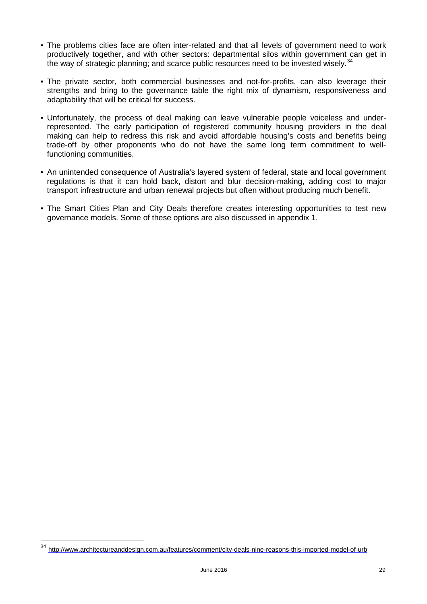- The problems cities face are often inter-related and that all levels of government need to work productively together, and with other sectors: departmental silos within government can get in the way of strategic planning; and scarce public resources need to be invested wisely.<sup>[34](#page-28-0)</sup>
- The private sector, both commercial businesses and not-for-profits, can also leverage their strengths and bring to the governance table the right mix of dynamism, responsiveness and adaptability that will be critical for success.
- Unfortunately, the process of deal making can leave vulnerable people voiceless and underrepresented. The early participation of registered community housing providers in the deal making can help to redress this risk and avoid affordable housing's costs and benefits being trade-off by other proponents who do not have the same long term commitment to wellfunctioning communities.
- An unintended consequence of Australia's layered system of federal, state and local government regulations is that it can hold back, distort and blur decision-making, adding cost to major transport infrastructure and urban renewal projects but often without producing much benefit.
- The Smart Cities Plan and City Deals therefore creates interesting opportunities to test new governance models. Some of these options are also discussed in appendix 1.

<span id="page-28-0"></span><sup>34</sup> <sup>34</sup> <http://www.architectureanddesign.com.au/features/comment/city-deals-nine-reasons-this-imported-model-of-urb>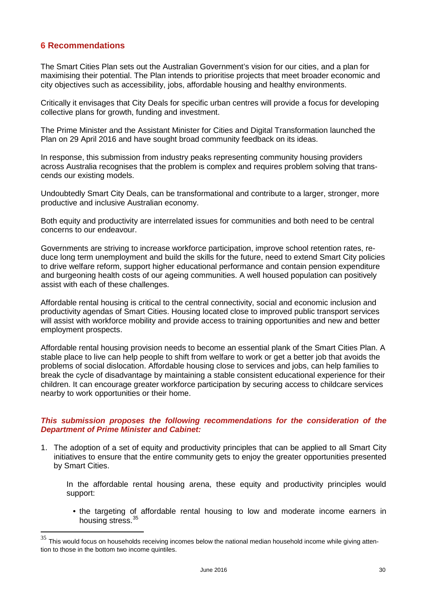## **6 Recommendations**

The Smart Cities Plan sets out the Australian Government's vision for our cities, and a plan for maximising their potential. The Plan intends to prioritise projects that meet broader economic and city objectives such as accessibility, jobs, affordable housing and healthy environments.

Critically it envisages that City Deals for specific urban centres will provide a focus for developing collective plans for growth, funding and investment.

The Prime Minister and the Assistant Minister for Cities and Digital Transformation launched the Plan on 29 April 2016 and have sought broad community feedback on its ideas.

In response, this submission from industry peaks representing community housing providers across Australia recognises that the problem is complex and requires problem solving that transcends our existing models.

Undoubtedly Smart City Deals, can be transformational and contribute to a larger, stronger, more productive and inclusive Australian economy.

Both equity and productivity are interrelated issues for communities and both need to be central concerns to our endeavour.

Governments are striving to increase workforce participation, improve school retention rates, reduce long term unemployment and build the skills for the future, need to extend Smart City policies to drive welfare reform, support higher educational performance and contain pension expenditure and burgeoning health costs of our ageing communities. A well housed population can positively assist with each of these challenges.

Affordable rental housing is critical to the central connectivity, social and economic inclusion and productivity agendas of Smart Cities. Housing located close to improved public transport services will assist with workforce mobility and provide access to training opportunities and new and better employment prospects.

Affordable rental housing provision needs to become an essential plank of the Smart Cities Plan. A stable place to live can help people to shift from welfare to work or get a better job that avoids the problems of social dislocation. Affordable housing close to services and jobs, can help families to break the cycle of disadvantage by maintaining a stable consistent educational experience for their children. It can encourage greater workforce participation by securing access to childcare services nearby to work opportunities or their home.

#### *This submission proposes the following recommendations for the consideration of the Department of Prime Minister and Cabinet:*

1. The adoption of a set of equity and productivity principles that can be applied to all Smart City initiatives to ensure that the entire community gets to enjoy the greater opportunities presented by Smart Cities.

In the affordable rental housing arena, these equity and productivity principles would support:

• the targeting of affordable rental housing to low and moderate income earners in housing stress.<sup>[35](#page-29-0)</sup>

<span id="page-29-0"></span> $35$  This would focus on households receiving incomes below the national median household income while giving attention to those in the bottom two income quintiles.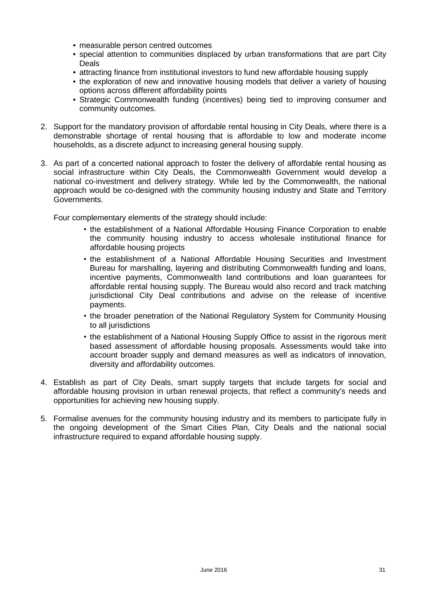- measurable person centred outcomes
- special attention to communities displaced by urban transformations that are part City Deals
- attracting finance from institutional investors to fund new affordable housing supply
- the exploration of new and innovative housing models that deliver a variety of housing options across different affordability points
- Strategic Commonwealth funding (incentives) being tied to improving consumer and community outcomes.
- 2. Support for the mandatory provision of affordable rental housing in City Deals, where there is a demonstrable shortage of rental housing that is affordable to low and moderate income households, as a discrete adjunct to increasing general housing supply.
- 3. As part of a concerted national approach to foster the delivery of affordable rental housing as social infrastructure within City Deals, the Commonwealth Government would develop a national co-investment and delivery strategy. While led by the Commonwealth, the national approach would be co-designed with the community housing industry and State and Territory Governments.

Four complementary elements of the strategy should include:

- the establishment of a National Affordable Housing Finance Corporation to enable the community housing industry to access wholesale institutional finance for affordable housing projects
- the establishment of a National Affordable Housing Securities and Investment Bureau for marshalling, layering and distributing Commonwealth funding and loans, incentive payments, Commonwealth land contributions and loan guarantees for affordable rental housing supply. The Bureau would also record and track matching jurisdictional City Deal contributions and advise on the release of incentive payments.
- the broader penetration of the National Regulatory System for Community Housing to all jurisdictions
- the establishment of a National Housing Supply Office to assist in the rigorous merit based assessment of affordable housing proposals. Assessments would take into account broader supply and demand measures as well as indicators of innovation, diversity and affordability outcomes.
- 4. Establish as part of City Deals, smart supply targets that include targets for social and affordable housing provision in urban renewal projects, that reflect a community's needs and opportunities for achieving new housing supply.
- 5. Formalise avenues for the community housing industry and its members to participate fully in the ongoing development of the Smart Cities Plan, City Deals and the national social infrastructure required to expand affordable housing supply.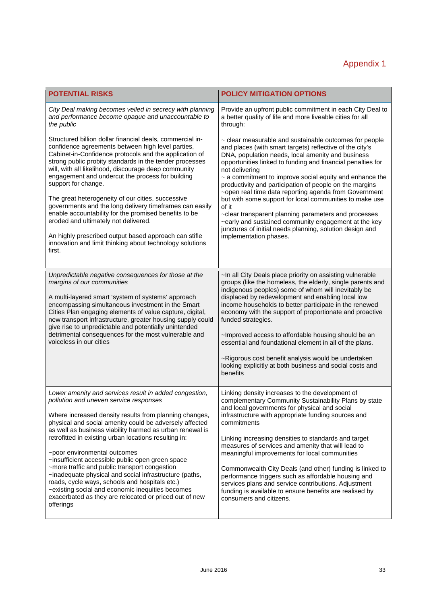# Appendix 1

| <b>POTENTIAL RISKS</b>                                                                                                                                                                                                                                                                                                                                                                                                                                                                                                                                                                                                                                                                                                 | <b>POLICY MITIGATION OPTIONS</b>                                                                                                                                                                                                                                                                                                                                                                                                                                                                                                                                                                                                                                                                                       |
|------------------------------------------------------------------------------------------------------------------------------------------------------------------------------------------------------------------------------------------------------------------------------------------------------------------------------------------------------------------------------------------------------------------------------------------------------------------------------------------------------------------------------------------------------------------------------------------------------------------------------------------------------------------------------------------------------------------------|------------------------------------------------------------------------------------------------------------------------------------------------------------------------------------------------------------------------------------------------------------------------------------------------------------------------------------------------------------------------------------------------------------------------------------------------------------------------------------------------------------------------------------------------------------------------------------------------------------------------------------------------------------------------------------------------------------------------|
| City Deal making becomes veiled in secrecy with planning<br>and performance become opaque and unaccountable to<br>the public                                                                                                                                                                                                                                                                                                                                                                                                                                                                                                                                                                                           | Provide an upfront public commitment in each City Deal to<br>a better quality of life and more liveable cities for all<br>through:                                                                                                                                                                                                                                                                                                                                                                                                                                                                                                                                                                                     |
| Structured billion dollar financial deals, commercial in-<br>confidence agreements between high level parties,<br>Cabinet-in-Confidence protocols and the application of<br>strong public probity standards in the tender processes<br>will, with all likelihood, discourage deep community<br>engagement and undercut the process for building<br>support for change.<br>The great heterogeneity of our cities, successive<br>governments and the long delivery timeframes can easily<br>enable accountability for the promised benefits to be<br>eroded and ultimately not delivered.<br>An highly prescribed output based approach can stifle<br>innovation and limit thinking about technology solutions<br>first. | ~ clear measurable and sustainable outcomes for people<br>and places (with smart targets) reflective of the city's<br>DNA, population needs, local amenity and business<br>opportunities linked to funding and financial penalties for<br>not delivering<br>$\sim$ a commitment to improve social equity and enhance the<br>productivity and participation of people on the margins<br>~open real time data reporting agenda from Government<br>but with some support for local communities to make use<br>of it<br>~clear transparent planning parameters and processes<br>~early and sustained community engagement at the key<br>junctures of initial needs planning, solution design and<br>implementation phases. |
| Unpredictable negative consequences for those at the<br>margins of our communities<br>A multi-layered smart 'system of systems' approach<br>encompassing simultaneous investment in the Smart<br>Cities Plan engaging elements of value capture, digital,<br>new transport infrastructure, greater housing supply could<br>give rise to unpredictable and potentially unintended<br>detrimental consequences for the most vulnerable and<br>voiceless in our cities                                                                                                                                                                                                                                                    | ~In all City Deals place priority on assisting vulnerable<br>groups (like the homeless, the elderly, single parents and<br>indigenous peoples) some of whom will inevitably be<br>displaced by redevelopment and enabling local low<br>income households to better participate in the renewed<br>economy with the support of proportionate and proactive<br>funded strategies.<br>~Improved access to affordable housing should be an<br>essential and foundational element in all of the plans.<br>~Rigorous cost benefit analysis would be undertaken<br>looking explicitly at both business and social costs and<br>benefits                                                                                        |
| Lower amenity and services result in added congestion,<br>pollution and uneven service responses<br>Where increased density results from planning changes,<br>physical and social amenity could be adversely affected<br>as well as business viability harmed as urban renewal is<br>retrofitted in existing urban locations resulting in:<br>~poor environmental outcomes<br>~insufficient accessible public open green space<br>~more traffic and public transport congestion<br>~inadequate physical and social infrastructure (paths,<br>roads, cycle ways, schools and hospitals etc.)<br>~existing social and economic inequities becomes<br>exacerbated as they are relocated or priced out of new<br>offerings | Linking density increases to the development of<br>complementary Community Sustainability Plans by state<br>and local governments for physical and social<br>infrastructure with appropriate funding sources and<br>commitments<br>Linking increasing densities to standards and target<br>measures of services and amenity that will lead to<br>meaningful improvements for local communities<br>Commonwealth City Deals (and other) funding is linked to<br>performance triggers such as affordable housing and<br>services plans and service contributions. Adjustment<br>funding is available to ensure benefits are realised by<br>consumers and citizens.                                                        |